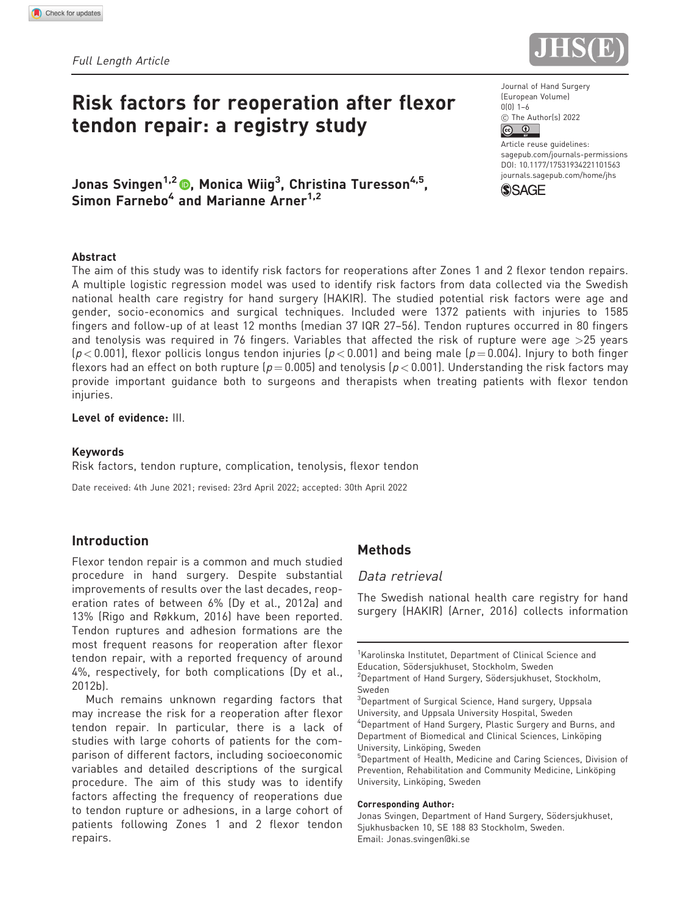

# Risk factors for reoperation after flexor tendon repair: a registry study

Jonas Svingen<sup>1,2</sup> (®, Monica Wiig<sup>3</sup>, Christina Turesson<sup>4,5</sup>, Simon Farnebo<sup>4</sup> and Marianne Arner<sup>1,2</sup>

#### Abstract

The aim of this study was to identify risk factors for reoperations after Zones 1 and 2 flexor tendon repairs. A multiple logistic regression model was used to identify risk factors from data collected via the Swedish national health care registry for hand surgery (HAKIR). The studied potential risk factors were age and gender, socio-economics and surgical techniques. Included were 1372 patients with injuries to 1585 fingers and follow-up of at least 12 months (median 37 IQR 27–56). Tendon ruptures occurred in 80 fingers and tenolysis was required in 76 fingers. Variables that affected the risk of rupture were age >25 years  $(p < 0.001)$ , flexor pollicis longus tendon injuries  $(p < 0.001)$  and being male  $(p = 0.004)$ . Injury to both finger flexors had an effect on both rupture ( $p = 0.005$ ) and tenolysis ( $p < 0.001$ ). Understanding the risk factors may provide important guidance both to surgeons and therapists when treating patients with flexor tendon injuries.

## Level of evidence: III.

#### Keywords

Risk factors, tendon rupture, complication, tenolysis, flexor tendon

Date received: 4th June 2021; revised: 23rd April 2022; accepted: 30th April 2022

# Introduction

Flexor tendon repair is a common and much studied procedure in hand surgery. Despite substantial improvements of results over the last decades, reoperation rates of between 6% (Dy et al., 2012a) and 13% (Rigo and Røkkum, 2016) have been reported. Tendon ruptures and adhesion formations are the most frequent reasons for reoperation after flexor tendon repair, with a reported frequency of around 4%, respectively, for both complications (Dy et al., 2012b).

Much remains unknown regarding factors that may increase the risk for a reoperation after flexor tendon repair. In particular, there is a lack of studies with large cohorts of patients for the comparison of different factors, including socioeconomic variables and detailed descriptions of the surgical procedure. The aim of this study was to identify factors affecting the frequency of reoperations due to tendon rupture or adhesions, in a large cohort of patients following Zones 1 and 2 flexor tendon repairs.

# Methods

## Data retrieval

The Swedish national health care registry for hand surgery (HAKIR) (Arner, 2016) collects information

#### Corresponding Author:

Journal of Hand Surgery (European Volume) 0(0) 1–6 **C** The Author(s) 2022<br>**C U** 

Article reuse quidelines: [sagepub.com/journals-permissions](http://uk.sagepub.com/en-gb/journals-permissions) [DOI: 10.1177/17531934221101563](http://dx.doi.org/10.1177/17531934221101563) <journals.sagepub.com/home/jhs>



<sup>&</sup>lt;sup>1</sup>Karolinska Institutet, Department of Clinical Science and Education, Södersjukhuset, Stockholm, Sweden

<sup>&</sup>lt;sup>2</sup>Department of Hand Surgery, Södersjukhuset, Stockholm, Sweden

<sup>&</sup>lt;sup>3</sup>Department of Surgical Science, Hand surgery, Uppsala University, and Uppsala University Hospital, Sweden 4 Department of Hand Surgery, Plastic Surgery and Burns, and Department of Biomedical and Clinical Sciences, Linköping University, Linköping, Sweden

<sup>&</sup>lt;sup>5</sup>Department of Health, Medicine and Caring Sciences, Division of Prevention, Rehabilitation and Community Medicine, Linköping University, Linköping, Sweden

Jonas Svingen, Department of Hand Surgery, Södersjukhuset, Sjukhusbacken 10, SE 188 83 Stockholm, Sweden. Email: [Jonas.svingen@ki.se](mailto:Jonas.svingen@ki.se)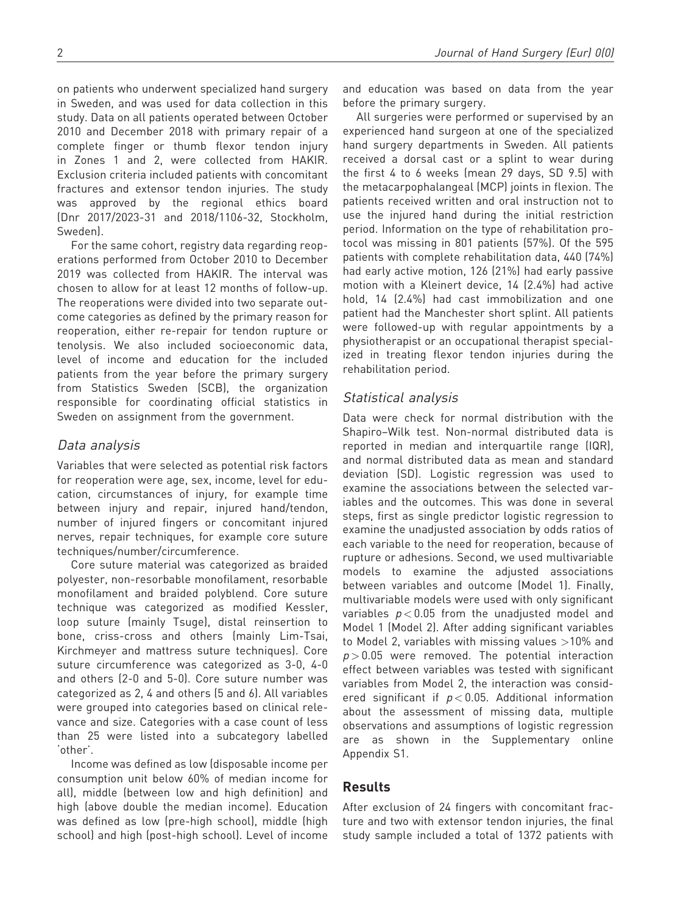on patients who underwent specialized hand surgery in Sweden, and was used for data collection in this study. Data on all patients operated between October 2010 and December 2018 with primary repair of a complete finger or thumb flexor tendon injury in Zones 1 and 2, were collected from HAKIR. Exclusion criteria included patients with concomitant fractures and extensor tendon injuries. The study was approved by the regional ethics board (Dnr 2017/2023-31 and 2018/1106-32, Stockholm, Sweden).

For the same cohort, registry data regarding reoperations performed from October 2010 to December 2019 was collected from HAKIR. The interval was chosen to allow for at least 12 months of follow-up. The reoperations were divided into two separate outcome categories as defined by the primary reason for reoperation, either re-repair for tendon rupture or tenolysis. We also included socioeconomic data, level of income and education for the included patients from the year before the primary surgery from Statistics Sweden (SCB), the organization responsible for coordinating official statistics in Sweden on assignment from the government.

# Data analysis

Variables that were selected as potential risk factors for reoperation were age, sex, income, level for education, circumstances of injury, for example time between injury and repair, injured hand/tendon, number of injured fingers or concomitant injured nerves, repair techniques, for example core suture techniques/number/circumference.

Core suture material was categorized as braided polyester, non-resorbable monofilament, resorbable monofilament and braided polyblend. Core suture technique was categorized as modified Kessler, loop suture (mainly Tsuge), distal reinsertion to bone, criss-cross and others (mainly Lim-Tsai, Kirchmeyer and mattress suture techniques). Core suture circumference was categorized as 3-0, 4-0 and others (2-0 and 5-0). Core suture number was categorized as 2, 4 and others (5 and 6). All variables were grouped into categories based on clinical relevance and size. Categories with a case count of less than 25 were listed into a subcategory labelled 'other'.

Income was defined as low (disposable income per consumption unit below 60% of median income for all), middle (between low and high definition) and high (above double the median income). Education was defined as low (pre-high school), middle (high school) and high (post-high school). Level of income and education was based on data from the year before the primary surgery.

All surgeries were performed or supervised by an experienced hand surgeon at one of the specialized hand surgery departments in Sweden. All patients received a dorsal cast or a splint to wear during the first 4 to 6 weeks (mean 29 days, SD 9.5) with the metacarpophalangeal (MCP) joints in flexion. The patients received written and oral instruction not to use the injured hand during the initial restriction period. Information on the type of rehabilitation protocol was missing in 801 patients (57%). Of the 595 patients with complete rehabilitation data, 440 (74%) had early active motion, 126 (21%) had early passive motion with a Kleinert device, 14 (2.4%) had active hold, 14 (2.4%) had cast immobilization and one patient had the Manchester short splint. All patients were followed-up with regular appointments by a physiotherapist or an occupational therapist specialized in treating flexor tendon injuries during the rehabilitation period.

# Statistical analysis

Data were check for normal distribution with the Shapiro–Wilk test. Non-normal distributed data is reported in median and interquartile range (IQR), and normal distributed data as mean and standard deviation (SD). Logistic regression was used to examine the associations between the selected variables and the outcomes. This was done in several steps, first as single predictor logistic regression to examine the unadjusted association by odds ratios of each variable to the need for reoperation, because of rupture or adhesions. Second, we used multivariable models to examine the adjusted associations between variables and outcome (Model 1). Finally, multivariable models were used with only significant variables  $p < 0.05$  from the unadjusted model and Model 1 (Model 2). After adding significant variables to Model 2, variables with missing values  $>10\%$  and  $p > 0.05$  were removed. The potential interaction effect between variables was tested with significant variables from Model 2, the interaction was considered significant if  $p < 0.05$ . Additional information about the assessment of missing data, multiple observations and assumptions of logistic regression are as shown in the Supplementary online Appendix S1.

# Results

After exclusion of 24 fingers with concomitant fracture and two with extensor tendon injuries, the final study sample included a total of 1372 patients with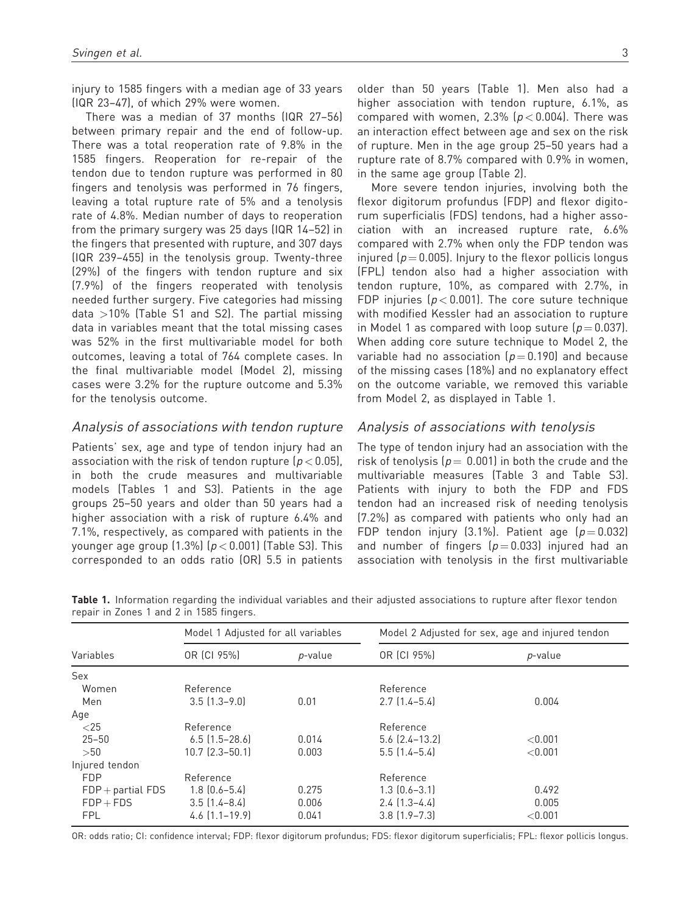injury to 1585 fingers with a median age of 33 years (IQR 23–47), of which 29% were women.

There was a median of 37 months (IQR 27–56) between primary repair and the end of follow-up. There was a total reoperation rate of 9.8% in the 1585 fingers. Reoperation for re-repair of the tendon due to tendon rupture was performed in 80 fingers and tenolysis was performed in 76 fingers, leaving a total rupture rate of 5% and a tenolysis rate of 4.8%. Median number of days to reoperation from the primary surgery was 25 days (IQR 14–52) in the fingers that presented with rupture, and 307 days (IQR 239–455) in the tenolysis group. Twenty-three (29%) of the fingers with tendon rupture and six (7.9%) of the fingers reoperated with tenolysis needed further surgery. Five categories had missing data  $>10\%$  (Table S1 and S2). The partial missing data in variables meant that the total missing cases was 52% in the first multivariable model for both outcomes, leaving a total of 764 complete cases. In the final multivariable model (Model 2), missing cases were 3.2% for the rupture outcome and 5.3% for the tenolysis outcome.

# Analysis of associations with tendon rupture

Patients' sex, age and type of tendon injury had an association with the risk of tendon rupture  $(p < 0.05)$ , in both the crude measures and multivariable models (Tables 1 and S3). Patients in the age groups 25–50 years and older than 50 years had a higher association with a risk of rupture 6.4% and 7.1%, respectively, as compared with patients in the younger age group  $(1.3\%)$   $(p < 0.001)$  (Table S3). This corresponded to an odds ratio (OR) 5.5 in patients older than 50 years (Table 1). Men also had a higher association with tendon rupture, 6.1%, as compared with women, 2.3%  $(p < 0.004)$ . There was an interaction effect between age and sex on the risk of rupture. Men in the age group 25–50 years had a rupture rate of 8.7% compared with 0.9% in women, in the same age group (Table 2).

More severe tendon injuries, involving both the flexor digitorum profundus (FDP) and flexor digitorum superficialis (FDS) tendons, had a higher association with an increased rupture rate, 6.6% compared with 2.7% when only the FDP tendon was injured ( $p = 0.005$ ). Injury to the flexor pollicis longus (FPL) tendon also had a higher association with tendon rupture, 10%, as compared with 2.7%, in FDP injuries ( $p < 0.001$ ). The core suture technique with modified Kessler had an association to rupture in Model 1 as compared with loop suture  $(p = 0.037)$ . When adding core suture technique to Model 2, the variable had no association ( $p = 0.190$ ) and because of the missing cases (18%) and no explanatory effect on the outcome variable, we removed this variable from Model 2, as displayed in Table 1.

#### Analysis of associations with tenolysis

The type of tendon injury had an association with the risk of tenolysis ( $p = 0.001$ ) in both the crude and the multivariable measures (Table 3 and Table S3). Patients with injury to both the FDP and FDS tendon had an increased risk of needing tenolysis (7.2%) as compared with patients who only had an FDP tendon injury (3.1%). Patient age  $(p=0.032)$ and number of fingers  $(p=0.033)$  injured had an association with tenolysis in the first multivariable

|                       | Model 1 Adjusted for all variables |         | Model 2 Adjusted for sex, age and injured tendon |            |
|-----------------------|------------------------------------|---------|--------------------------------------------------|------------|
| Variables             | OR (CI 95%)                        | p-value | OR (CI 95%)                                      | p-value    |
| Sex                   |                                    |         |                                                  |            |
| Women                 | Reference                          |         | Reference                                        |            |
| Men                   | $3.5$ $(1.3-9.0)$                  | 0.01    | $2.7$ (1.4–5.4)                                  | 0.004      |
| Age                   |                                    |         |                                                  |            |
| $<$ 25                | Reference                          |         | Reference                                        |            |
| $25 - 50$             | $6.5$ $(1.5-28.6)$                 | 0.014   | $5.6$ $(2.4 - 13.2)$                             | ${<}0.001$ |
| >50                   | $10.7$ $(2.3 - 50.1)$              | 0.003   | $5.5$ $(1.4 - 5.4)$                              | < 0.001    |
| Injured tendon        |                                    |         |                                                  |            |
| <b>FDP</b>            | Reference                          |         | Reference                                        |            |
| $FDP +$ partial $FDS$ | $1.8$ $(0.6 - 5.4)$                | 0.275   | $1.3$ $(0.6 - 3.1)$                              | 0.492      |
| $FDP + FDS$           | $3.5(1.4-8.4)$                     | 0.006   | $2.4$ $(1.3-4.4)$                                | 0.005      |
| <b>FPL</b>            | $4.6$ $[1.1 - 19.9]$               | 0.041   | $3.8$ $[1.9 - 7.3]$                              | < 0.001    |

Table 1. Information regarding the individual variables and their adjusted associations to rupture after flexor tendon repair in Zones 1 and 2 in 1585 fingers.

OR: odds ratio; CI: confidence interval; FDP: flexor digitorum profundus; FDS: flexor digitorum superficialis; FPL: flexor pollicis longus.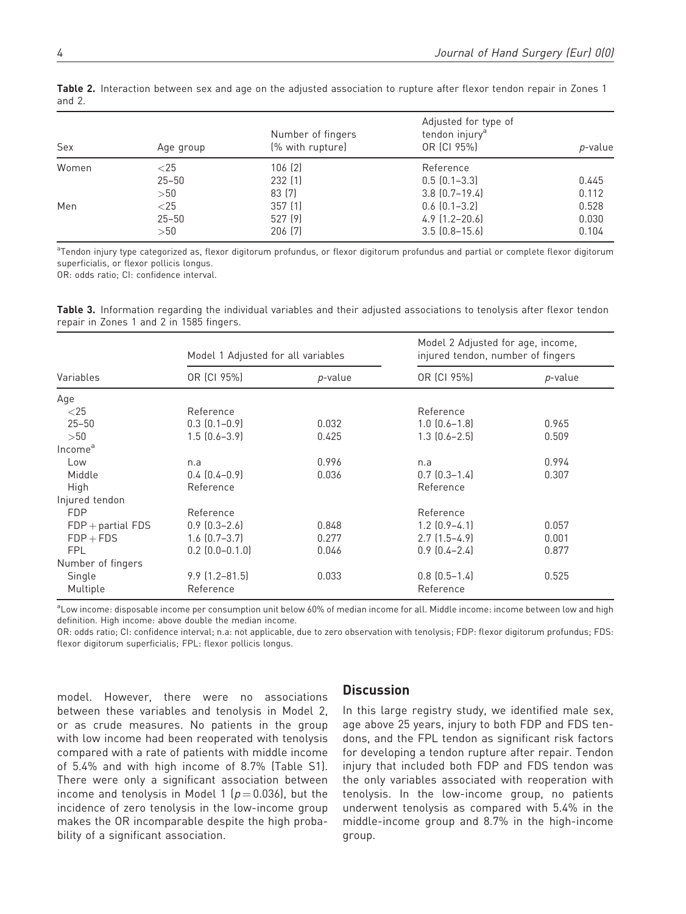| Sex   | Age group | Number of fingers<br>(% with rupture) | Adjusted for type of<br>tendon injury <sup>a</sup><br>OR (CI 95%)<br>p-value |       |
|-------|-----------|---------------------------------------|------------------------------------------------------------------------------|-------|
| Women | ${<}25$   | 106 [2]                               | Reference                                                                    |       |
|       | $25 - 50$ | 232(1)                                | $0.5(0.1-3.3)$                                                               | 0.445 |
|       | >50       | 83 [7]                                | $3.8$ $[0.7-19.4]$                                                           | 0.112 |
| Men   | ${<}25$   | 357(1)                                | $0.6$ $(0.1 - 3.2)$                                                          | 0.528 |
|       | $25 - 50$ | 527 (9)                               | $4.9$ $(1.2 - 20.6)$                                                         | 0.030 |
|       | >50       | 206 (7)                               | $3.5$ $[0.8-15.6]$                                                           | 0.104 |
|       |           |                                       |                                                                              |       |

Table 2. Interaction between sex and age on the adjusted association to rupture after flexor tendon repair in Zones 1 and 2.

<sup>a</sup>Tendon injury type categorized as, flexor digitorum profundus, or flexor digitorum profundus and partial or complete flexor digitorum superficialis, or flexor pollicis longus.

OR: odds ratio; CI: confidence interval.

Table 3. Information regarding the individual variables and their adjusted associations to tenolysis after flexor tendon repair in Zones 1 and 2 in 1585 fingers.

| Variables           | Model 1 Adjusted for all variables |         | Model 2 Adjusted for age, income,<br>injured tendon, number of fingers |         |
|---------------------|------------------------------------|---------|------------------------------------------------------------------------|---------|
|                     | OR (CI 95%)                        | p-value | OR (CI 95%)                                                            | p-value |
| Age                 |                                    |         |                                                                        |         |
| ${<}25$             | Reference                          |         | Reference                                                              |         |
| $25 - 50$           | $0.3$ $(0.1 - 0.9)$                | 0.032   | $1.0$ $(0.6 - 1.8)$                                                    | 0.965   |
| >50                 | $1.5(0.6-3.9)$                     | 0.425   | $1.3$ $(0.6 - 2.5)$                                                    | 0.509   |
| Income <sup>a</sup> |                                    |         |                                                                        |         |
| Low                 | n.a                                | 0.996   | n.a                                                                    | 0.994   |
| Middle              | $0.4(0.4-0.9)$                     | 0.036   | $0.7(0.3-1.4)$                                                         | 0.307   |
| High                | Reference                          |         | Reference                                                              |         |
| Injured tendon      |                                    |         |                                                                        |         |
| <b>FDP</b>          | Reference                          |         | Reference                                                              |         |
| $FDP +$ partial FDS | $0.9$ $(0.3 - 2.6)$                | 0.848   | $1.2$ $(0.9-4.1)$                                                      | 0.057   |
| $FDP + FDS$         | $1.6$ $(0.7-3.7)$                  | 0.277   | $2.7(1.5-4.9)$                                                         | 0.001   |
| <b>FPL</b>          | $0.2$ $(0.0 - 0.1.0)$              | 0.046   | $0.9$ $(0.4 - 2.4)$                                                    | 0.877   |
| Number of fingers   |                                    |         |                                                                        |         |
| Single              | $9.9$ $(1.2 - 81.5)$               | 0.033   | $0.8$ $(0.5-1.4)$                                                      | 0.525   |
| Multiple            | Reference                          |         | Reference                                                              |         |

a<br>Low income: disposable income per consumption unit below 60% of median income for all. Middle income: income between low and high definition. High income: above double the median income.

OR: odds ratio; CI: confidence interval; n.a: not applicable, due to zero observation with tenolysis; FDP: flexor digitorum profundus; FDS: flexor digitorum superficialis; FPL: flexor pollicis longus.

model. However, there were no associations between these variables and tenolysis in Model 2, or as crude measures. No patients in the group with low income had been reoperated with tenolysis compared with a rate of patients with middle income of 5.4% and with high income of 8.7% (Table S1). There were only a significant association between income and tenolysis in Model 1 ( $p = 0.036$ ), but the incidence of zero tenolysis in the low-income group makes the OR incomparable despite the high probability of a significant association.

## **Discussion**

In this large registry study, we identified male sex, age above 25 years, injury to both FDP and FDS tendons, and the FPL tendon as significant risk factors for developing a tendon rupture after repair. Tendon injury that included both FDP and FDS tendon was the only variables associated with reoperation with tenolysis. In the low-income group, no patients underwent tenolysis as compared with 5.4% in the middle-income group and 8.7% in the high-income group.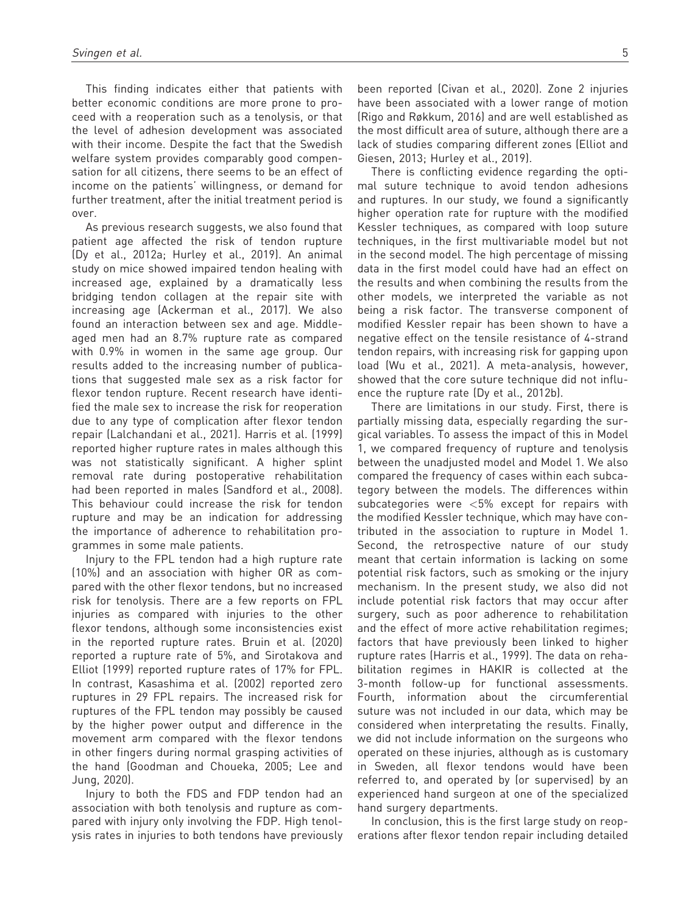This finding indicates either that patients with better economic conditions are more prone to proceed with a reoperation such as a tenolysis, or that the level of adhesion development was associated with their income. Despite the fact that the Swedish welfare system provides comparably good compensation for all citizens, there seems to be an effect of income on the patients' willingness, or demand for further treatment, after the initial treatment period is over.

As previous research suggests, we also found that patient age affected the risk of tendon rupture (Dy et al., 2012a; Hurley et al., 2019). An animal study on mice showed impaired tendon healing with increased age, explained by a dramatically less bridging tendon collagen at the repair site with increasing age (Ackerman et al., 2017). We also found an interaction between sex and age. Middleaged men had an 8.7% rupture rate as compared with 0.9% in women in the same age group. Our results added to the increasing number of publications that suggested male sex as a risk factor for flexor tendon rupture. Recent research have identified the male sex to increase the risk for reoperation due to any type of complication after flexor tendon repair (Lalchandani et al., 2021). Harris et al. (1999) reported higher rupture rates in males although this was not statistically significant. A higher splint removal rate during postoperative rehabilitation had been reported in males (Sandford et al., 2008). This behaviour could increase the risk for tendon rupture and may be an indication for addressing the importance of adherence to rehabilitation programmes in some male patients.

Injury to the FPL tendon had a high rupture rate (10%) and an association with higher OR as compared with the other flexor tendons, but no increased risk for tenolysis. There are a few reports on FPL injuries as compared with injuries to the other flexor tendons, although some inconsistencies exist in the reported rupture rates. Bruin et al. (2020) reported a rupture rate of 5%, and Sirotakova and Elliot (1999) reported rupture rates of 17% for FPL. In contrast, Kasashima et al. (2002) reported zero ruptures in 29 FPL repairs. The increased risk for ruptures of the FPL tendon may possibly be caused by the higher power output and difference in the movement arm compared with the flexor tendons in other fingers during normal grasping activities of the hand (Goodman and Choueka, 2005; Lee and Jung, 2020).

Injury to both the FDS and FDP tendon had an association with both tenolysis and rupture as compared with injury only involving the FDP. High tenolysis rates in injuries to both tendons have previously been reported (Civan et al., 2020). Zone 2 injuries have been associated with a lower range of motion (Rigo and Røkkum, 2016) and are well established as the most difficult area of suture, although there are a lack of studies comparing different zones (Elliot and Giesen, 2013; Hurley et al., 2019).

There is conflicting evidence regarding the optimal suture technique to avoid tendon adhesions and ruptures. In our study, we found a significantly higher operation rate for rupture with the modified Kessler techniques, as compared with loop suture techniques, in the first multivariable model but not in the second model. The high percentage of missing data in the first model could have had an effect on the results and when combining the results from the other models, we interpreted the variable as not being a risk factor. The transverse component of modified Kessler repair has been shown to have a negative effect on the tensile resistance of 4-strand tendon repairs, with increasing risk for gapping upon load (Wu et al., 2021). A meta-analysis, however, showed that the core suture technique did not influence the rupture rate (Dy et al., 2012b).

There are limitations in our study. First, there is partially missing data, especially regarding the surgical variables. To assess the impact of this in Model 1, we compared frequency of rupture and tenolysis between the unadjusted model and Model 1. We also compared the frequency of cases within each subcategory between the models. The differences within subcategories were <5% except for repairs with the modified Kessler technique, which may have contributed in the association to rupture in Model 1. Second, the retrospective nature of our study meant that certain information is lacking on some potential risk factors, such as smoking or the injury mechanism. In the present study, we also did not include potential risk factors that may occur after surgery, such as poor adherence to rehabilitation and the effect of more active rehabilitation regimes; factors that have previously been linked to higher rupture rates (Harris et al., 1999). The data on rehabilitation regimes in HAKIR is collected at the 3-month follow-up for functional assessments. Fourth, information about the circumferential suture was not included in our data, which may be considered when interpretating the results. Finally, we did not include information on the surgeons who operated on these injuries, although as is customary in Sweden, all flexor tendons would have been referred to, and operated by (or supervised) by an experienced hand surgeon at one of the specialized hand surgery departments.

In conclusion, this is the first large study on reoperations after flexor tendon repair including detailed